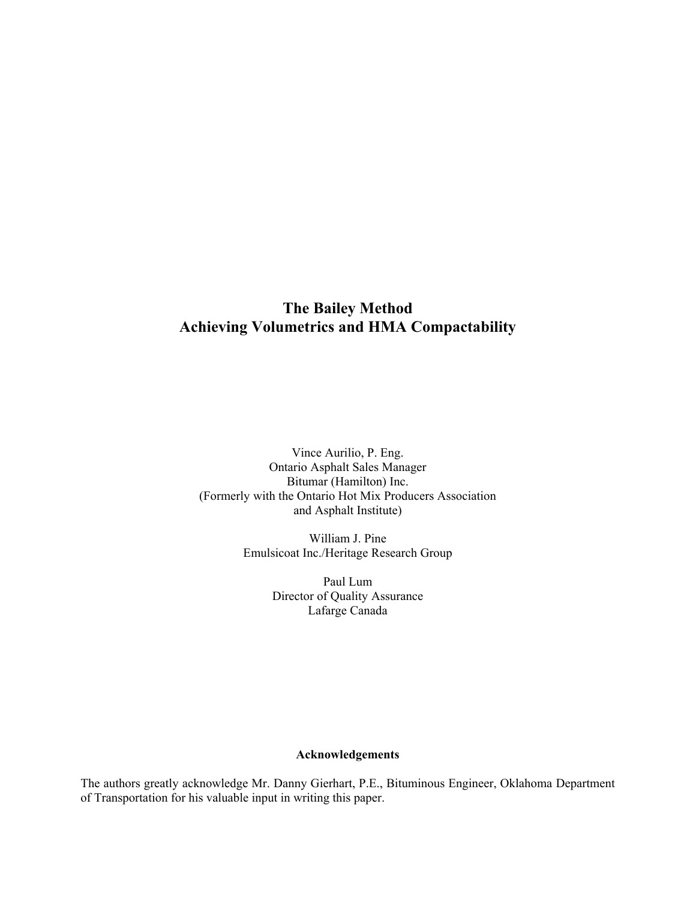# **The Bailey Method Achieving Volumetrics and HMA Compactability**

Vince Aurilio, P. Eng. Ontario Asphalt Sales Manager Bitumar (Hamilton) Inc. (Formerly with the Ontario Hot Mix Producers Association and Asphalt Institute)

> William J. Pine Emulsicoat Inc./Heritage Research Group

> > Paul Lum Director of Quality Assurance Lafarge Canada

#### **Acknowledgements**

The authors greatly acknowledge Mr. Danny Gierhart, P.E., Bituminous Engineer, Oklahoma Department of Transportation for his valuable input in writing this paper.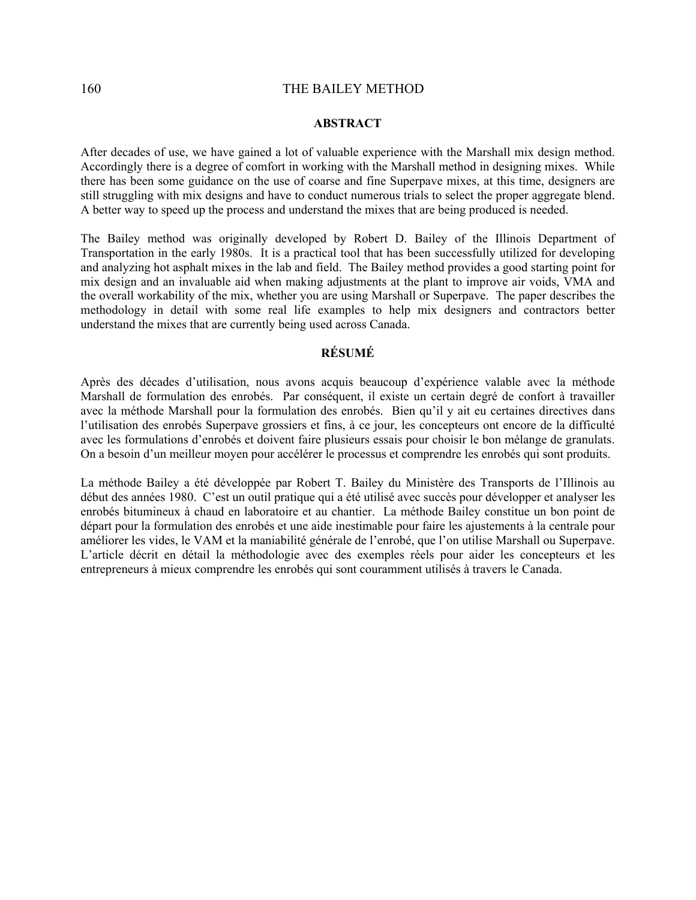#### **ABSTRACT**

After decades of use, we have gained a lot of valuable experience with the Marshall mix design method. Accordingly there is a degree of comfort in working with the Marshall method in designing mixes. While there has been some guidance on the use of coarse and fine Superpave mixes, at this time, designers are still struggling with mix designs and have to conduct numerous trials to select the proper aggregate blend. A better way to speed up the process and understand the mixes that are being produced is needed.

The Bailey method was originally developed by Robert D. Bailey of the Illinois Department of Transportation in the early 1980s. It is a practical tool that has been successfully utilized for developing and analyzing hot asphalt mixes in the lab and field. The Bailey method provides a good starting point for mix design and an invaluable aid when making adjustments at the plant to improve air voids, VMA and the overall workability of the mix, whether you are using Marshall or Superpave. The paper describes the methodology in detail with some real life examples to help mix designers and contractors better understand the mixes that are currently being used across Canada.

#### **RÉSUMÉ**

Après des décades d'utilisation, nous avons acquis beaucoup d'expérience valable avec la méthode Marshall de formulation des enrobés. Par conséquent, il existe un certain degré de confort à travailler avec la méthode Marshall pour la formulation des enrobés. Bien qu'il y ait eu certaines directives dans l'utilisation des enrobés Superpave grossiers et fins, à ce jour, les concepteurs ont encore de la difficulté avec les formulations d'enrobés et doivent faire plusieurs essais pour choisir le bon mélange de granulats. On a besoin d'un meilleur moyen pour accélérer le processus et comprendre les enrobés qui sont produits.

La méthode Bailey a été développée par Robert T. Bailey du Ministère des Transports de l'Illinois au début des années 1980. C'est un outil pratique qui a été utilisé avec succès pour développer et analyser les enrobés bitumineux à chaud en laboratoire et au chantier. La méthode Bailey constitue un bon point de départ pour la formulation des enrobés et une aide inestimable pour faire les ajustements à la centrale pour améliorer les vides, le VAM et la maniabilité générale de l'enrobé, que l'on utilise Marshall ou Superpave. L'article décrit en détail la méthodologie avec des exemples réels pour aider les concepteurs et les entrepreneurs à mieux comprendre les enrobés qui sont couramment utilisés à travers le Canada.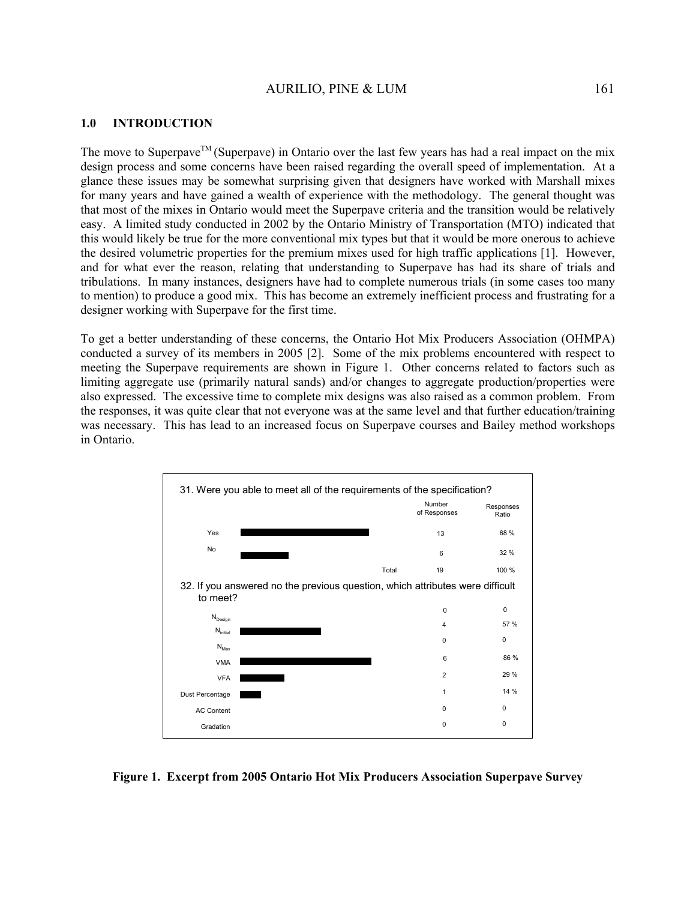#### **1.0 INTRODUCTION**

The move to Superpave<sup>TM</sup> (Superpave) in Ontario over the last few years has had a real impact on the mix design process and some concerns have been raised regarding the overall speed of implementation. At a glance these issues may be somewhat surprising given that designers have worked with Marshall mixes for many years and have gained a wealth of experience with the methodology. The general thought was that most of the mixes in Ontario would meet the Superpave criteria and the transition would be relatively easy. A limited study conducted in 2002 by the Ontario Ministry of Transportation (MTO) indicated that this would likely be true for the more conventional mix types but that it would be more onerous to achieve the desired volumetric properties for the premium mixes used for high traffic applications [1]. However, and for what ever the reason, relating that understanding to Superpave has had its share of trials and tribulations. In many instances, designers have had to complete numerous trials (in some cases too many to mention) to produce a good mix. This has become an extremely inefficient process and frustrating for a designer working with Superpave for the first time.

To get a better understanding of these concerns, the Ontario Hot Mix Producers Association (OHMPA) conducted a survey of its members in 2005 [2]. Some of the mix problems encountered with respect to meeting the Superpave requirements are shown in Figure 1. Other concerns related to factors such as limiting aggregate use (primarily natural sands) and/or changes to aggregate production/properties were also expressed. The excessive time to complete mix designs was also raised as a common problem. From the responses, it was quite clear that not everyone was at the same level and that further education/training was necessary. This has lead to an increased focus on Superpave courses and Bailey method workshops in Ontario.



**Figure 1. Excerpt from 2005 Ontario Hot Mix Producers Association Superpave Survey**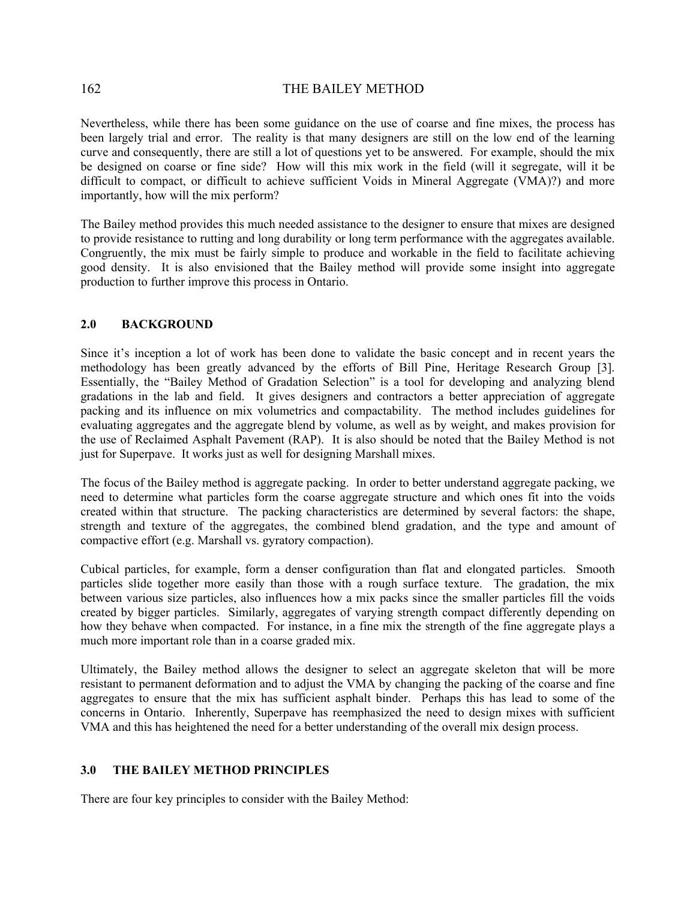Nevertheless, while there has been some guidance on the use of coarse and fine mixes, the process has been largely trial and error. The reality is that many designers are still on the low end of the learning curve and consequently, there are still a lot of questions yet to be answered. For example, should the mix be designed on coarse or fine side? How will this mix work in the field (will it segregate, will it be difficult to compact, or difficult to achieve sufficient Voids in Mineral Aggregate (VMA)?) and more importantly, how will the mix perform?

The Bailey method provides this much needed assistance to the designer to ensure that mixes are designed to provide resistance to rutting and long durability or long term performance with the aggregates available. Congruently, the mix must be fairly simple to produce and workable in the field to facilitate achieving good density. It is also envisioned that the Bailey method will provide some insight into aggregate production to further improve this process in Ontario.

### **2.0 BACKGROUND**

Since it's inception a lot of work has been done to validate the basic concept and in recent years the methodology has been greatly advanced by the efforts of Bill Pine, Heritage Research Group [3]. Essentially, the "Bailey Method of Gradation Selection" is a tool for developing and analyzing blend gradations in the lab and field. It gives designers and contractors a better appreciation of aggregate packing and its influence on mix volumetrics and compactability. The method includes guidelines for evaluating aggregates and the aggregate blend by volume, as well as by weight, and makes provision for the use of Reclaimed Asphalt Pavement (RAP). It is also should be noted that the Bailey Method is not just for Superpave. It works just as well for designing Marshall mixes.

The focus of the Bailey method is aggregate packing. In order to better understand aggregate packing, we need to determine what particles form the coarse aggregate structure and which ones fit into the voids created within that structure. The packing characteristics are determined by several factors: the shape, strength and texture of the aggregates, the combined blend gradation, and the type and amount of compactive effort (e.g. Marshall vs. gyratory compaction).

Cubical particles, for example, form a denser configuration than flat and elongated particles. Smooth particles slide together more easily than those with a rough surface texture. The gradation, the mix between various size particles, also influences how a mix packs since the smaller particles fill the voids created by bigger particles. Similarly, aggregates of varying strength compact differently depending on how they behave when compacted. For instance, in a fine mix the strength of the fine aggregate plays a much more important role than in a coarse graded mix.

Ultimately, the Bailey method allows the designer to select an aggregate skeleton that will be more resistant to permanent deformation and to adjust the VMA by changing the packing of the coarse and fine aggregates to ensure that the mix has sufficient asphalt binder. Perhaps this has lead to some of the concerns in Ontario. Inherently, Superpave has reemphasized the need to design mixes with sufficient VMA and this has heightened the need for a better understanding of the overall mix design process.

#### **3.0 THE BAILEY METHOD PRINCIPLES**

There are four key principles to consider with the Bailey Method: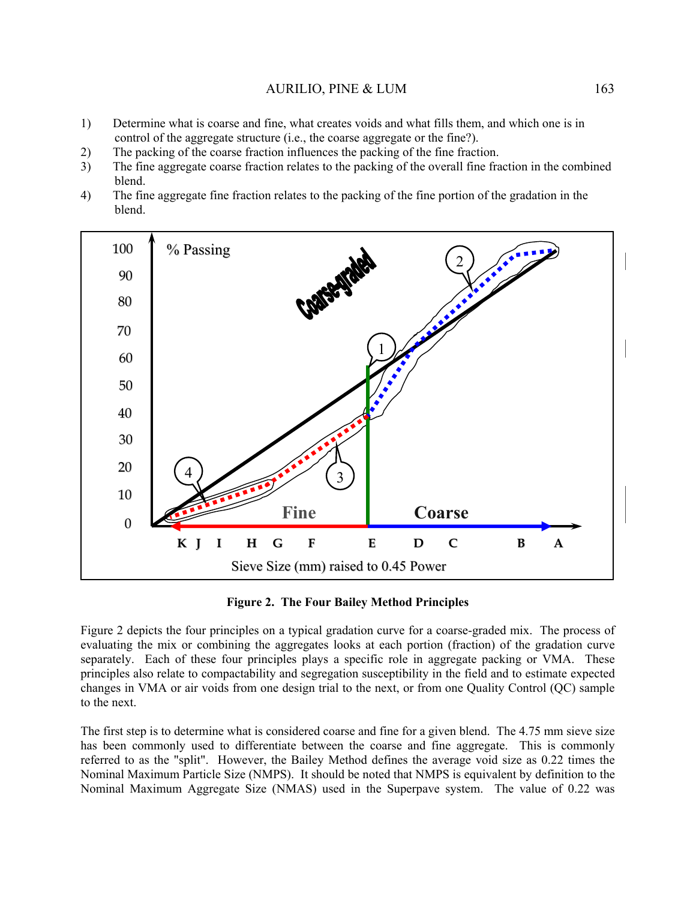- 1) Determine what is coarse and fine, what creates voids and what fills them, and which one is in control of the aggregate structure (i.e., the coarse aggregate or the fine?).
- 2) The packing of the coarse fraction influences the packing of the fine fraction.
- 3) The fine aggregate coarse fraction relates to the packing of the overall fine fraction in the combined blend.
- 4) The fine aggregate fine fraction relates to the packing of the fine portion of the gradation in the blend.



**Figure 2. The Four Bailey Method Principles** 

Figure 2 depicts the four principles on a typical gradation curve for a coarse-graded mix. The process of evaluating the mix or combining the aggregates looks at each portion (fraction) of the gradation curve separately. Each of these four principles plays a specific role in aggregate packing or VMA. These principles also relate to compactability and segregation susceptibility in the field and to estimate expected changes in VMA or air voids from one design trial to the next, or from one Quality Control (QC) sample to the next.

The first step is to determine what is considered coarse and fine for a given blend. The 4.75 mm sieve size has been commonly used to differentiate between the coarse and fine aggregate. This is commonly referred to as the "split". However, the Bailey Method defines the average void size as 0.22 times the Nominal Maximum Particle Size (NMPS). It should be noted that NMPS is equivalent by definition to the Nominal Maximum Aggregate Size (NMAS) used in the Superpave system. The value of 0.22 was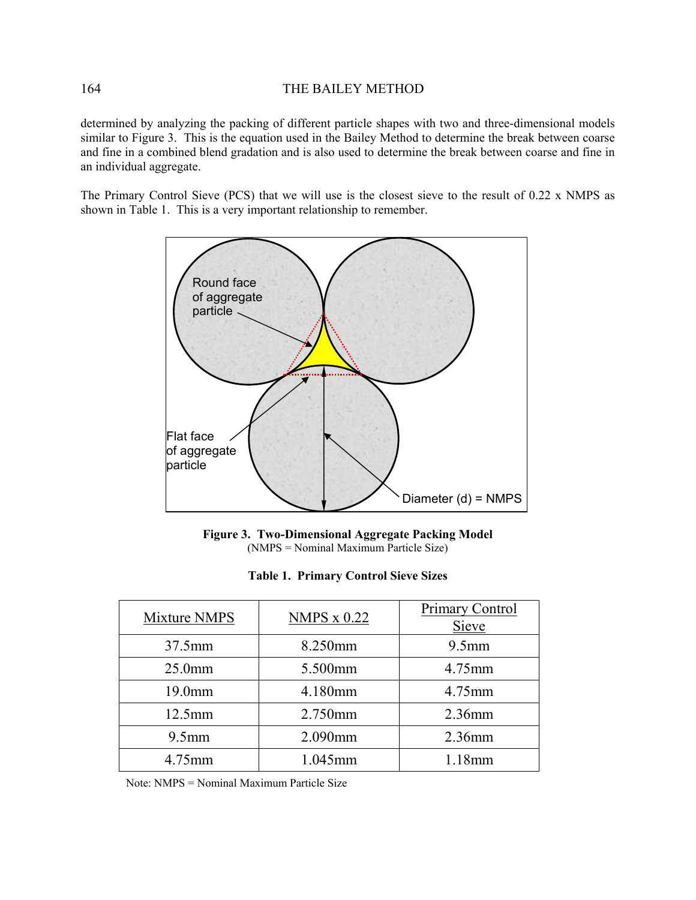determined by analyzing the packing of different particle shapes with two and three-dimensional models similar to Figure 3. This is the equation used in the Bailey Method to determine the break between coarse and fine in a combined blend gradation and is also used to determine the break between coarse and fine in an individual aggregate.

The Primary Control Sieve (PCS) that we will use is the closest sieve to the result of 0.22 x NMPS as shown in Table 1. This is a very important relationship to remember.



**Figure 3. Two-Dimensional Aggregate Packing Model**  (NMPS = Nominal Maximum Particle Size)

|  | <b>Table 1. Primary Control Sieve Sizes</b> |  |  |  |
|--|---------------------------------------------|--|--|--|
|--|---------------------------------------------|--|--|--|

| Mixture NMPS       | <b>NMPS x 0.22</b> | Primary Control<br>Sieve |
|--------------------|--------------------|--------------------------|
| 37.5mm             | 8.250mm            | $9.5$ mm                 |
| 25.0 <sub>mm</sub> | 5.500mm            | 4.75mm                   |
| 19.0 <sub>mm</sub> | 4.180mm            | 4.75mm                   |
| $12.5$ mm          | 2.750mm            | 2.36mm                   |
| $9.5$ mm           | 2.090mm            | 2.36mm                   |
| 4.75mm             | 1.045mm            | 1.18mm                   |

Note: NMPS = Nominal Maximum Particle Size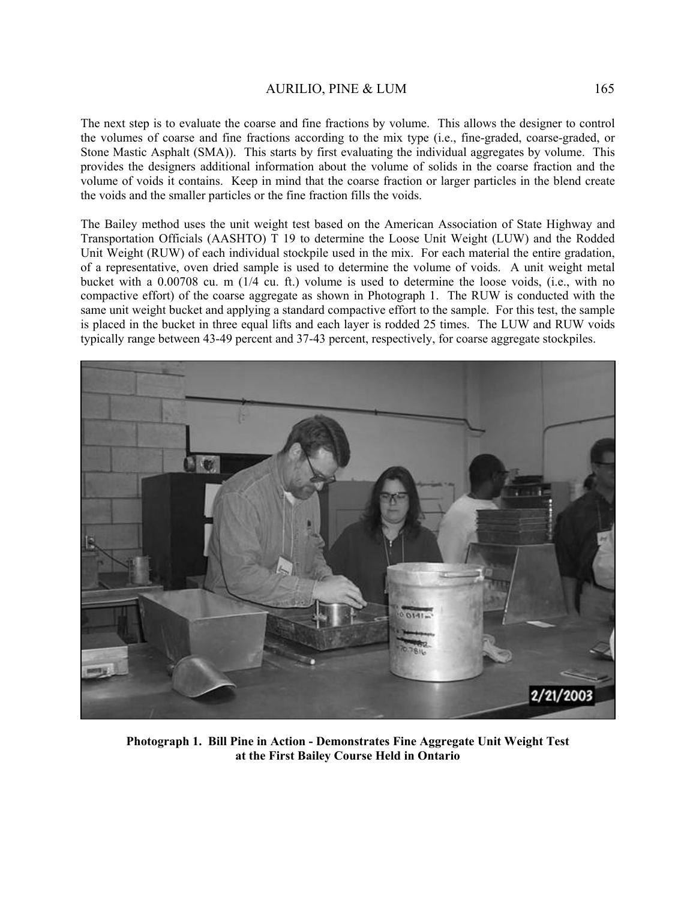The next step is to evaluate the coarse and fine fractions by volume. This allows the designer to control the volumes of coarse and fine fractions according to the mix type (i.e., fine-graded, coarse-graded, or Stone Mastic Asphalt (SMA)). This starts by first evaluating the individual aggregates by volume. This provides the designers additional information about the volume of solids in the coarse fraction and the volume of voids it contains. Keep in mind that the coarse fraction or larger particles in the blend create the voids and the smaller particles or the fine fraction fills the voids.

The Bailey method uses the unit weight test based on the American Association of State Highway and Transportation Officials (AASHTO) T 19 to determine the Loose Unit Weight (LUW) and the Rodded Unit Weight (RUW) of each individual stockpile used in the mix. For each material the entire gradation, of a representative, oven dried sample is used to determine the volume of voids. A unit weight metal bucket with a 0.00708 cu. m (1/4 cu. ft.) volume is used to determine the loose voids, (i.e., with no compactive effort) of the coarse aggregate as shown in Photograph 1. The RUW is conducted with the same unit weight bucket and applying a standard compactive effort to the sample. For this test, the sample is placed in the bucket in three equal lifts and each layer is rodded 25 times. The LUW and RUW voids typically range between 43-49 percent and 37-43 percent, respectively, for coarse aggregate stockpiles.



**Photograph 1. Bill Pine in Action - Demonstrates Fine Aggregate Unit Weight Test at the First Bailey Course Held in Ontario**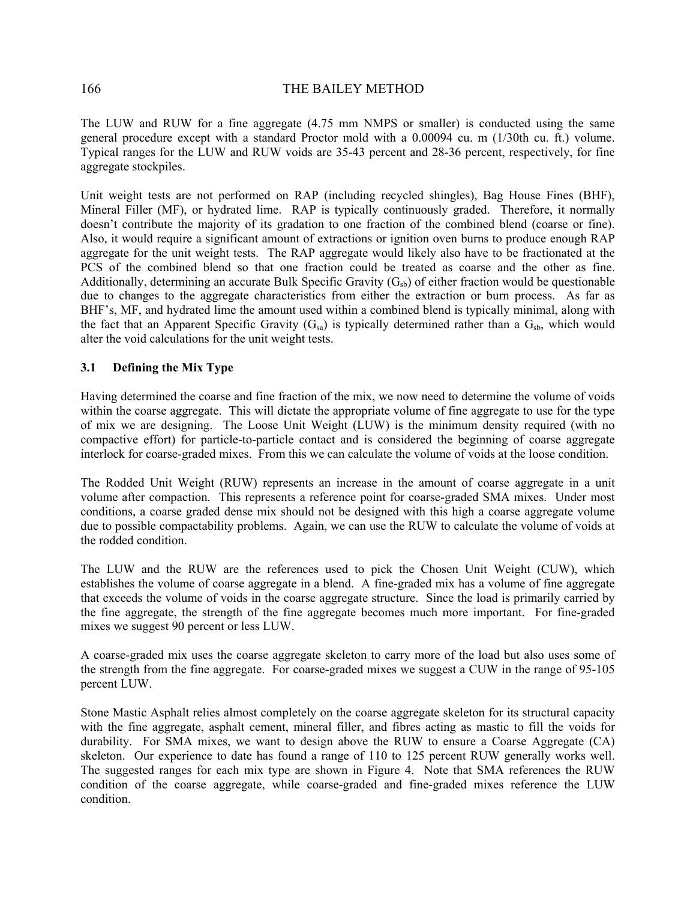The LUW and RUW for a fine aggregate (4.75 mm NMPS or smaller) is conducted using the same general procedure except with a standard Proctor mold with a 0.00094 cu. m (1/30th cu. ft.) volume. Typical ranges for the LUW and RUW voids are 35-43 percent and 28-36 percent, respectively, for fine aggregate stockpiles.

Unit weight tests are not performed on RAP (including recycled shingles), Bag House Fines (BHF), Mineral Filler (MF), or hydrated lime. RAP is typically continuously graded. Therefore, it normally doesn't contribute the majority of its gradation to one fraction of the combined blend (coarse or fine). Also, it would require a significant amount of extractions or ignition oven burns to produce enough RAP aggregate for the unit weight tests. The RAP aggregate would likely also have to be fractionated at the PCS of the combined blend so that one fraction could be treated as coarse and the other as fine. Additionally, determining an accurate Bulk Specific Gravity  $(G_{sb})$  of either fraction would be questionable due to changes to the aggregate characteristics from either the extraction or burn process. As far as BHF's, MF, and hydrated lime the amount used within a combined blend is typically minimal, along with the fact that an Apparent Specific Gravity  $(G_{sa})$  is typically determined rather than a  $G_{sb}$ , which would alter the void calculations for the unit weight tests.

### **3.1 Defining the Mix Type**

Having determined the coarse and fine fraction of the mix, we now need to determine the volume of voids within the coarse aggregate. This will dictate the appropriate volume of fine aggregate to use for the type of mix we are designing. The Loose Unit Weight (LUW) is the minimum density required (with no compactive effort) for particle-to-particle contact and is considered the beginning of coarse aggregate interlock for coarse-graded mixes. From this we can calculate the volume of voids at the loose condition.

The Rodded Unit Weight (RUW) represents an increase in the amount of coarse aggregate in a unit volume after compaction. This represents a reference point for coarse-graded SMA mixes. Under most conditions, a coarse graded dense mix should not be designed with this high a coarse aggregate volume due to possible compactability problems. Again, we can use the RUW to calculate the volume of voids at the rodded condition.

The LUW and the RUW are the references used to pick the Chosen Unit Weight (CUW), which establishes the volume of coarse aggregate in a blend. A fine-graded mix has a volume of fine aggregate that exceeds the volume of voids in the coarse aggregate structure. Since the load is primarily carried by the fine aggregate, the strength of the fine aggregate becomes much more important. For fine-graded mixes we suggest 90 percent or less LUW.

A coarse-graded mix uses the coarse aggregate skeleton to carry more of the load but also uses some of the strength from the fine aggregate. For coarse-graded mixes we suggest a CUW in the range of 95-105 percent LUW.

Stone Mastic Asphalt relies almost completely on the coarse aggregate skeleton for its structural capacity with the fine aggregate, asphalt cement, mineral filler, and fibres acting as mastic to fill the voids for durability. For SMA mixes, we want to design above the RUW to ensure a Coarse Aggregate (CA) skeleton. Our experience to date has found a range of 110 to 125 percent RUW generally works well. The suggested ranges for each mix type are shown in Figure 4. Note that SMA references the RUW condition of the coarse aggregate, while coarse-graded and fine-graded mixes reference the LUW condition.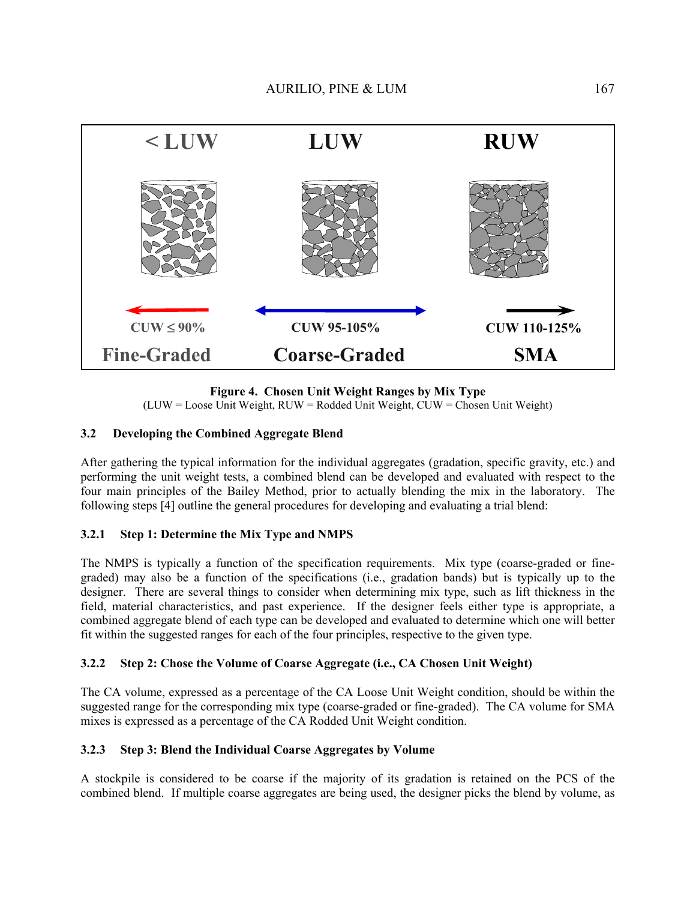

**Figure 4. Chosen Unit Weight Ranges by Mix Type** 

(LUW = Loose Unit Weight, RUW = Rodded Unit Weight, CUW = Chosen Unit Weight)

### **3.2 Developing the Combined Aggregate Blend**

After gathering the typical information for the individual aggregates (gradation, specific gravity, etc.) and performing the unit weight tests, a combined blend can be developed and evaluated with respect to the four main principles of the Bailey Method, prior to actually blending the mix in the laboratory. The following steps [4] outline the general procedures for developing and evaluating a trial blend:

# **3.2.1 Step 1: Determine the Mix Type and NMPS**

The NMPS is typically a function of the specification requirements. Mix type (coarse-graded or finegraded) may also be a function of the specifications (i.e., gradation bands) but is typically up to the designer. There are several things to consider when determining mix type, such as lift thickness in the field, material characteristics, and past experience. If the designer feels either type is appropriate, a combined aggregate blend of each type can be developed and evaluated to determine which one will better fit within the suggested ranges for each of the four principles, respective to the given type.

# **3.2.2 Step 2: Chose the Volume of Coarse Aggregate (i.e., CA Chosen Unit Weight)**

The CA volume, expressed as a percentage of the CA Loose Unit Weight condition, should be within the suggested range for the corresponding mix type (coarse-graded or fine-graded). The CA volume for SMA mixes is expressed as a percentage of the CA Rodded Unit Weight condition.

#### **3.2.3 Step 3: Blend the Individual Coarse Aggregates by Volume**

A stockpile is considered to be coarse if the majority of its gradation is retained on the PCS of the combined blend. If multiple coarse aggregates are being used, the designer picks the blend by volume, as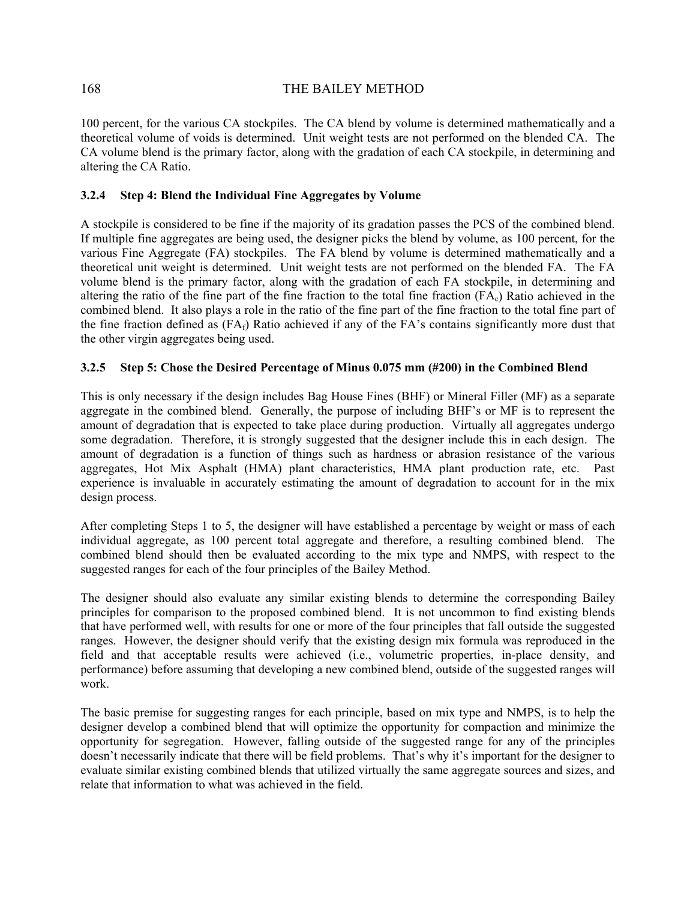100 percent, for the various CA stockpiles. The CA blend by volume is determined mathematically and a theoretical volume of voids is determined. Unit weight tests are not performed on the blended CA. The CA volume blend is the primary factor, along with the gradation of each CA stockpile, in determining and altering the CA Ratio.

#### **3.2.4 Step 4: Blend the Individual Fine Aggregates by Volume**

A stockpile is considered to be fine if the majority of its gradation passes the PCS of the combined blend. If multiple fine aggregates are being used, the designer picks the blend by volume, as 100 percent, for the various Fine Aggregate (FA) stockpiles. The FA blend by volume is determined mathematically and a theoretical unit weight is determined. Unit weight tests are not performed on the blended FA. The FA volume blend is the primary factor, along with the gradation of each FA stockpile, in determining and altering the ratio of the fine part of the fine fraction to the total fine fraction  $(FA<sub>c</sub>)$  Ratio achieved in the combined blend. It also plays a role in the ratio of the fine part of the fine fraction to the total fine part of the fine fraction defined as  $(FA<sub>f</sub>)$  Ratio achieved if any of the FA's contains significantly more dust that the other virgin aggregates being used.

### **3.2.5 Step 5: Chose the Desired Percentage of Minus 0.075 mm (#200) in the Combined Blend**

This is only necessary if the design includes Bag House Fines (BHF) or Mineral Filler (MF) as a separate aggregate in the combined blend. Generally, the purpose of including BHF's or MF is to represent the amount of degradation that is expected to take place during production. Virtually all aggregates undergo some degradation. Therefore, it is strongly suggested that the designer include this in each design. The amount of degradation is a function of things such as hardness or abrasion resistance of the various aggregates, Hot Mix Asphalt (HMA) plant characteristics, HMA plant production rate, etc. Past experience is invaluable in accurately estimating the amount of degradation to account for in the mix design process.

After completing Steps 1 to 5, the designer will have established a percentage by weight or mass of each individual aggregate, as 100 percent total aggregate and therefore, a resulting combined blend. The combined blend should then be evaluated according to the mix type and NMPS, with respect to the suggested ranges for each of the four principles of the Bailey Method.

The designer should also evaluate any similar existing blends to determine the corresponding Bailey principles for comparison to the proposed combined blend. It is not uncommon to find existing blends that have performed well, with results for one or more of the four principles that fall outside the suggested ranges. However, the designer should verify that the existing design mix formula was reproduced in the field and that acceptable results were achieved (i.e., volumetric properties, in-place density, and performance) before assuming that developing a new combined blend, outside of the suggested ranges will work.

The basic premise for suggesting ranges for each principle, based on mix type and NMPS, is to help the designer develop a combined blend that will optimize the opportunity for compaction and minimize the opportunity for segregation. However, falling outside of the suggested range for any of the principles doesn't necessarily indicate that there will be field problems. That's why it's important for the designer to evaluate similar existing combined blends that utilized virtually the same aggregate sources and sizes, and relate that information to what was achieved in the field.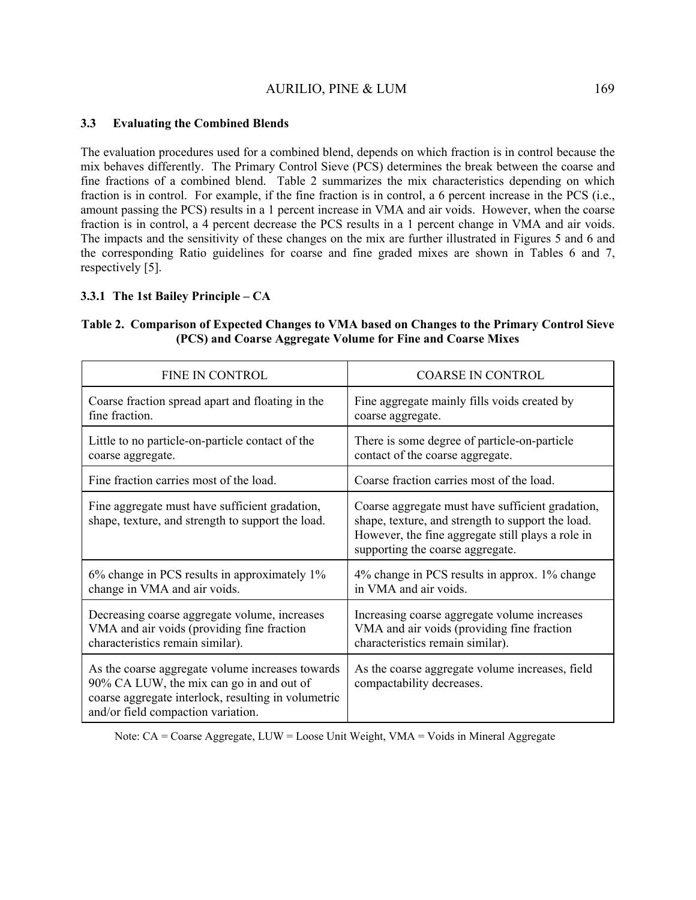#### **3.3 Evaluating the Combined Blends**

The evaluation procedures used for a combined blend, depends on which fraction is in control because the mix behaves differently. The Primary Control Sieve (PCS) determines the break between the coarse and fine fractions of a combined blend. Table 2 summarizes the mix characteristics depending on which fraction is in control. For example, if the fine fraction is in control, a 6 percent increase in the PCS (i.e., amount passing the PCS) results in a 1 percent increase in VMA and air voids. However, when the coarse fraction is in control, a 4 percent decrease the PCS results in a 1 percent change in VMA and air voids. The impacts and the sensitivity of these changes on the mix are further illustrated in Figures 5 and 6 and the corresponding Ratio guidelines for coarse and fine graded mixes are shown in Tables 6 and 7, respectively [5].

#### **3.3.1 The 1st Bailey Principle – CA**

| <b>FINE IN CONTROL</b>                                                                                                                                                                    | <b>COARSE IN CONTROL</b>                                                                                                                                                                       |
|-------------------------------------------------------------------------------------------------------------------------------------------------------------------------------------------|------------------------------------------------------------------------------------------------------------------------------------------------------------------------------------------------|
| Coarse fraction spread apart and floating in the                                                                                                                                          | Fine aggregate mainly fills voids created by                                                                                                                                                   |
| fine fraction.                                                                                                                                                                            | coarse aggregate.                                                                                                                                                                              |
| Little to no particle-on-particle contact of the                                                                                                                                          | There is some degree of particle-on-particle                                                                                                                                                   |
| coarse aggregate.                                                                                                                                                                         | contact of the coarse aggregate.                                                                                                                                                               |
| Fine fraction carries most of the load.                                                                                                                                                   | Coarse fraction carries most of the load.                                                                                                                                                      |
| Fine aggregate must have sufficient gradation,<br>shape, texture, and strength to support the load.                                                                                       | Coarse aggregate must have sufficient gradation,<br>shape, texture, and strength to support the load.<br>However, the fine aggregate still plays a role in<br>supporting the coarse aggregate. |
| 6% change in PCS results in approximately 1%                                                                                                                                              | 4% change in PCS results in approx. 1% change                                                                                                                                                  |
| change in VMA and air voids.                                                                                                                                                              | in VMA and air voids.                                                                                                                                                                          |
| Decreasing coarse aggregate volume, increases                                                                                                                                             | Increasing coarse aggregate volume increases                                                                                                                                                   |
| VMA and air voids (providing fine fraction                                                                                                                                                | VMA and air voids (providing fine fraction                                                                                                                                                     |
| characteristics remain similar).                                                                                                                                                          | characteristics remain similar).                                                                                                                                                               |
| As the coarse aggregate volume increases towards<br>90% CA LUW, the mix can go in and out of<br>coarse aggregate interlock, resulting in volumetric<br>and/or field compaction variation. | As the coarse aggregate volume increases, field<br>compactability decreases.                                                                                                                   |

#### **Table 2. Comparison of Expected Changes to VMA based on Changes to the Primary Control Sieve (PCS) and Coarse Aggregate Volume for Fine and Coarse Mixes**

Note: CA = Coarse Aggregate, LUW = Loose Unit Weight, VMA = Voids in Mineral Aggregate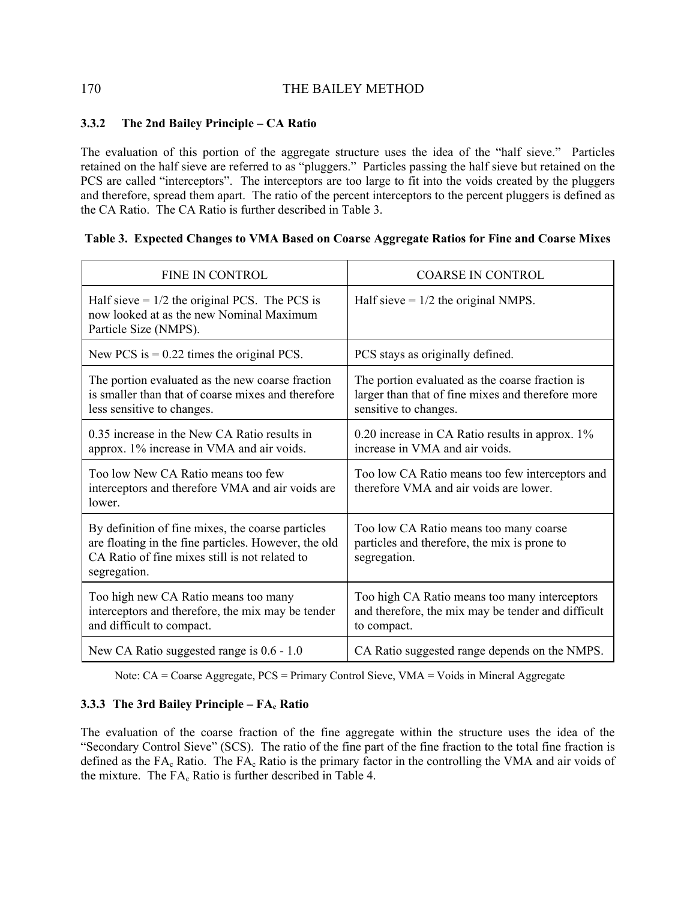## **3.3.2 The 2nd Bailey Principle – CA Ratio**

The evaluation of this portion of the aggregate structure uses the idea of the "half sieve." Particles retained on the half sieve are referred to as "pluggers." Particles passing the half sieve but retained on the PCS are called "interceptors". The interceptors are too large to fit into the voids created by the pluggers and therefore, spread them apart. The ratio of the percent interceptors to the percent pluggers is defined as the CA Ratio. The CA Ratio is further described in Table 3.

### **Table 3. Expected Changes to VMA Based on Coarse Aggregate Ratios for Fine and Coarse Mixes**

| <b>FINE IN CONTROL</b>                                                                                                                                                      | <b>COARSE IN CONTROL</b>                                                                                                      |
|-----------------------------------------------------------------------------------------------------------------------------------------------------------------------------|-------------------------------------------------------------------------------------------------------------------------------|
| Half sieve $= 1/2$ the original PCS. The PCS is<br>now looked at as the new Nominal Maximum<br>Particle Size (NMPS).                                                        | Half sieve $= 1/2$ the original NMPS.                                                                                         |
| New PCS is $= 0.22$ times the original PCS.                                                                                                                                 | PCS stays as originally defined.                                                                                              |
| The portion evaluated as the new coarse fraction<br>is smaller than that of coarse mixes and therefore<br>less sensitive to changes.                                        | The portion evaluated as the coarse fraction is<br>larger than that of fine mixes and therefore more<br>sensitive to changes. |
| 0.35 increase in the New CA Ratio results in<br>approx. 1% increase in VMA and air voids.                                                                                   | $0.20$ increase in CA Ratio results in approx. $1\%$<br>increase in VMA and air voids.                                        |
| Too low New CA Ratio means too few<br>interceptors and therefore VMA and air voids are<br>lower.                                                                            | Too low CA Ratio means too few interceptors and<br>therefore VMA and air voids are lower.                                     |
| By definition of fine mixes, the coarse particles<br>are floating in the fine particles. However, the old<br>CA Ratio of fine mixes still is not related to<br>segregation. | Too low CA Ratio means too many coarse<br>particles and therefore, the mix is prone to<br>segregation.                        |
| Too high new CA Ratio means too many<br>interceptors and therefore, the mix may be tender<br>and difficult to compact.                                                      | Too high CA Ratio means too many interceptors<br>and therefore, the mix may be tender and difficult<br>to compact.            |
| New CA Ratio suggested range is 0.6 - 1.0                                                                                                                                   | CA Ratio suggested range depends on the NMPS.                                                                                 |

Note: CA = Coarse Aggregate, PCS = Primary Control Sieve, VMA = Voids in Mineral Aggregate

# **3.3.3 The 3rd Bailey Principle – FA<sub>c</sub> Ratio**

The evaluation of the coarse fraction of the fine aggregate within the structure uses the idea of the "Secondary Control Sieve" (SCS). The ratio of the fine part of the fine fraction to the total fine fraction is defined as the FA<sub>c</sub> Ratio. The FA<sub>c</sub> Ratio is the primary factor in the controlling the VMA and air voids of the mixture. The  $FA<sub>c</sub>$  Ratio is further described in Table 4.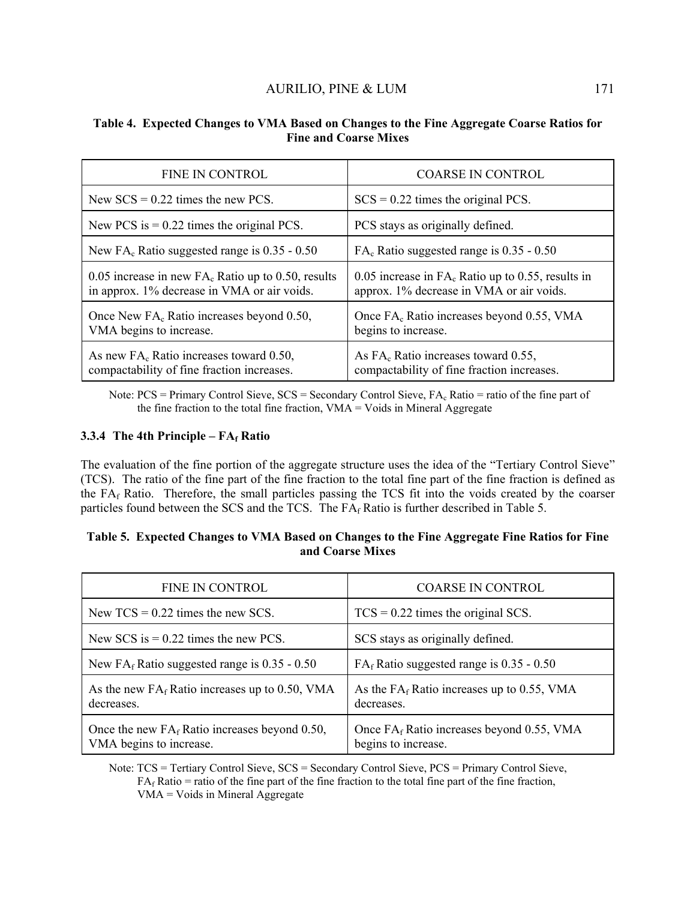| FINE IN CONTROL                                                                                      | <b>COARSE IN CONTROL</b>                                                                         |
|------------------------------------------------------------------------------------------------------|--------------------------------------------------------------------------------------------------|
| New $SCS = 0.22$ times the new PCS.                                                                  | $SCS = 0.22$ times the original PCS.                                                             |
| New PCS is $= 0.22$ times the original PCS.                                                          | PCS stays as originally defined.                                                                 |
| New $FA_c$ Ratio suggested range is 0.35 - 0.50                                                      | $FAc$ Ratio suggested range is 0.35 - 0.50                                                       |
| 0.05 increase in new $FA_c$ Ratio up to 0.50, results<br>in approx. 1% decrease in VMA or air voids. | 0.05 increase in $FA_c$ Ratio up to 0.55, results in<br>approx. 1% decrease in VMA or air voids. |
| Once New FA <sub>c</sub> Ratio increases beyond 0.50,<br>VMA begins to increase.                     | Once FA <sub>c</sub> Ratio increases beyond 0.55, VMA<br>begins to increase.                     |
| As new $FAc$ Ratio increases toward 0.50,<br>compactability of fine fraction increases.              | As $FAc$ Ratio increases toward 0.55,<br>compactability of fine fraction increases.              |

#### **Table 4. Expected Changes to VMA Based on Changes to the Fine Aggregate Coarse Ratios for Fine and Coarse Mixes**

Note:  $PCS = Primary Control SizeS = Secondary Control SizeS, FA<sub>c</sub> Ratio = ratio of the fine part of$ the fine fraction to the total fine fraction,  $VMA = Voids$  in Mineral Aggregate

### **3.3.4 The 4th Principle – FAf Ratio**

The evaluation of the fine portion of the aggregate structure uses the idea of the "Tertiary Control Sieve" (TCS). The ratio of the fine part of the fine fraction to the total fine part of the fine fraction is defined as the  $FA_f$  Ratio. Therefore, the small particles passing the TCS fit into the voids created by the coarser particles found between the SCS and the TCS. The  $FA<sub>f</sub>$  Ratio is further described in Table 5.

| Table 5. Expected Changes to VMA Based on Changes to the Fine Aggregate Fine Ratios for Fine |                  |  |  |
|----------------------------------------------------------------------------------------------|------------------|--|--|
|                                                                                              | and Coarse Mixes |  |  |

| FINE IN CONTROL                                                             | <b>COARSE IN CONTROL</b>                                            |
|-----------------------------------------------------------------------------|---------------------------------------------------------------------|
| New $TCS = 0.22$ times the new SCS.                                         | $TCS = 0.22$ times the original SCS.                                |
| New SCS is $= 0.22$ times the new PCS.                                      | SCS stays as originally defined.                                    |
| New FA <sub>f</sub> Ratio suggested range is $0.35 - 0.50$                  | $FAf$ Ratio suggested range is 0.35 - 0.50                          |
| As the new $FA_f$ Ratio increases up to 0.50, VMA<br>decreases.             | As the $FA_f$ Ratio increases up to 0.55, VMA<br>decreases.         |
| Once the new $FA_f$ Ratio increases beyond 0.50,<br>VMA begins to increase. | Once $FA_f$ Ratio increases beyond 0.55, VMA<br>begins to increase. |

Note: TCS = Tertiary Control Sieve, SCS = Secondary Control Sieve, PCS = Primary Control Sieve,  $FA<sub>f</sub> Ratio = ratio of the fine part of the fine fraction to the total fine part of the fine fraction,$ VMA = Voids in Mineral Aggregate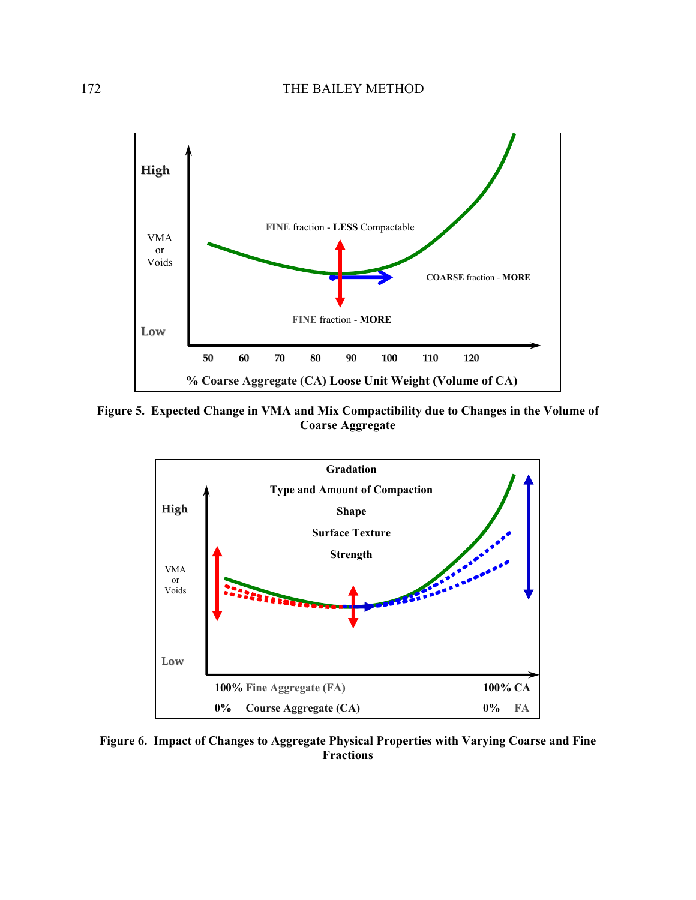

**Figure 5. Expected Change in VMA and Mix Compactibility due to Changes in the Volume of Coarse Aggregate** 



**Figure 6. Impact of Changes to Aggregate Physical Properties with Varying Coarse and Fine Fractions**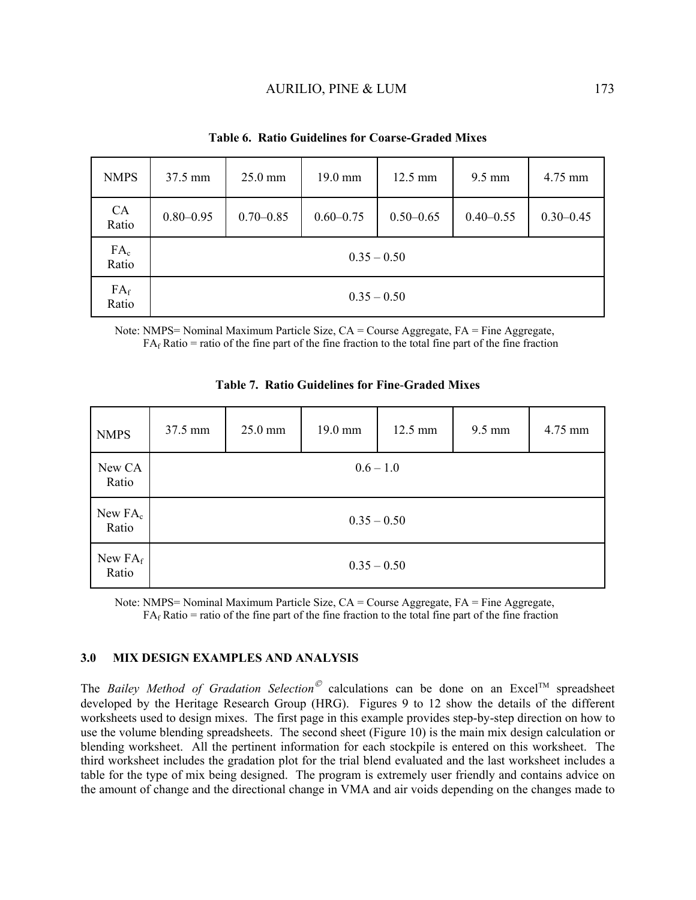| <b>NMPS</b>        | 37.5 mm       | 25.0 mm       | 19.0 mm       | 12.5 mm       | $9.5 \text{ mm}$ | 4.75 mm       |
|--------------------|---------------|---------------|---------------|---------------|------------------|---------------|
| <b>CA</b><br>Ratio | $0.80 - 0.95$ | $0.70 - 0.85$ | $0.60 - 0.75$ | $0.50 - 0.65$ | $0.40 - 0.55$    | $0.30 - 0.45$ |
| $FA_c$<br>Ratio    |               |               | $0.35 - 0.50$ |               |                  |               |
| $FA_f$<br>Ratio    |               |               |               | $0.35 - 0.50$ |                  |               |

**Table 6. Ratio Guidelines for Coarse-Graded Mixes** 

Note: NMPS= Nominal Maximum Particle Size, CA = Course Aggregate, FA = Fine Aggregate,  $FA<sub>f</sub> Ratio = ratio of the fine part of the fine fraction to the total fine part of the fine fraction$ 

| <b>NMPS</b>         | 37.5 mm | 25.0 mm | 19.0 mm       | 12.5 mm | 9.5 mm | 4.75 mm |
|---------------------|---------|---------|---------------|---------|--------|---------|
| New CA<br>Ratio     |         |         | $0.6 - 1.0$   |         |        |         |
| New $FA_c$<br>Ratio |         |         | $0.35 - 0.50$ |         |        |         |
| New $FA_f$<br>Ratio |         |         | $0.35 - 0.50$ |         |        |         |

**Table 7. Ratio Guidelines for Fine**-**Graded Mixes** 

Note: NMPS= Nominal Maximum Particle Size, CA = Course Aggregate, FA = Fine Aggregate,  $FA<sub>f</sub> Ratio = ratio of the fine part of the fine fraction to the total fine part of the fine fraction$ 

#### **3.0 MIX DESIGN EXAMPLES AND ANALYSIS**

The *Bailey Method of Gradation Selection* calculations can be done on an Excel<sup>TM</sup> spreadsheet developed by the Heritage Research Group (HRG). Figures 9 to 12 show the details of the different worksheets used to design mixes. The first page in this example provides step-by-step direction on how to use the volume blending spreadsheets. The second sheet (Figure 10) is the main mix design calculation or blending worksheet. All the pertinent information for each stockpile is entered on this worksheet. The third worksheet includes the gradation plot for the trial blend evaluated and the last worksheet includes a table for the type of mix being designed. The program is extremely user friendly and contains advice on the amount of change and the directional change in VMA and air voids depending on the changes made to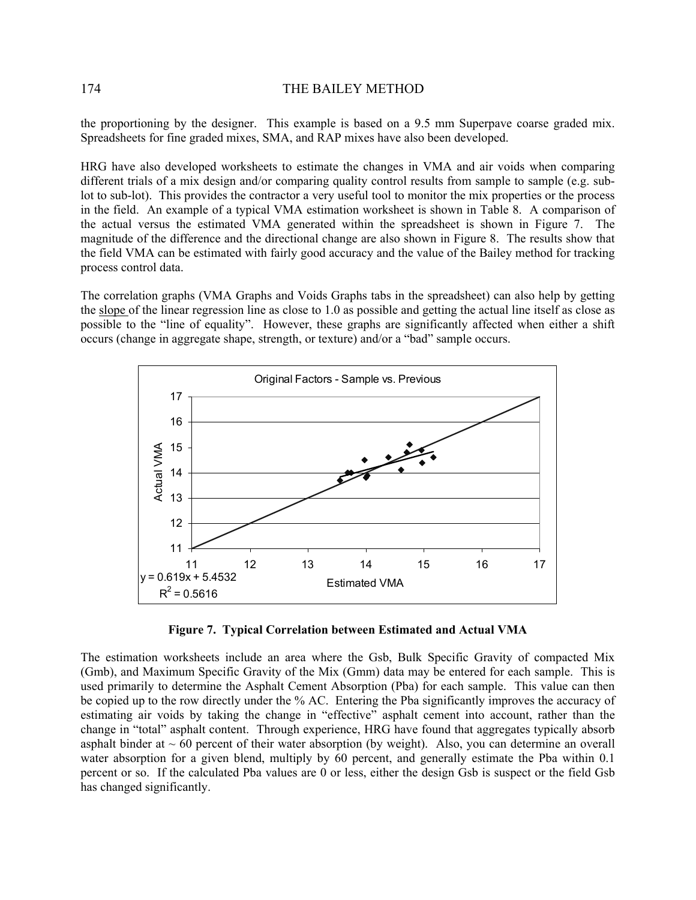the proportioning by the designer. This example is based on a 9.5 mm Superpave coarse graded mix. Spreadsheets for fine graded mixes, SMA, and RAP mixes have also been developed.

HRG have also developed worksheets to estimate the changes in VMA and air voids when comparing different trials of a mix design and/or comparing quality control results from sample to sample (e.g. sublot to sub-lot). This provides the contractor a very useful tool to monitor the mix properties or the process in the field. An example of a typical VMA estimation worksheet is shown in Table 8. A comparison of the actual versus the estimated VMA generated within the spreadsheet is shown in Figure 7. The magnitude of the difference and the directional change are also shown in Figure 8. The results show that the field VMA can be estimated with fairly good accuracy and the value of the Bailey method for tracking process control data.

The correlation graphs (VMA Graphs and Voids Graphs tabs in the spreadsheet) can also help by getting the slope of the linear regression line as close to 1.0 as possible and getting the actual line itself as close as possible to the "line of equality". However, these graphs are significantly affected when either a shift occurs (change in aggregate shape, strength, or texture) and/or a "bad" sample occurs.



**Figure 7. Typical Correlation between Estimated and Actual VMA** 

The estimation worksheets include an area where the Gsb, Bulk Specific Gravity of compacted Mix (Gmb), and Maximum Specific Gravity of the Mix (Gmm) data may be entered for each sample. This is used primarily to determine the Asphalt Cement Absorption (Pba) for each sample. This value can then be copied up to the row directly under the % AC. Entering the Pba significantly improves the accuracy of estimating air voids by taking the change in "effective" asphalt cement into account, rather than the change in "total" asphalt content. Through experience, HRG have found that aggregates typically absorb asphalt binder at  $\sim 60$  percent of their water absorption (by weight). Also, you can determine an overall water absorption for a given blend, multiply by 60 percent, and generally estimate the Pba within 0.1 percent or so. If the calculated Pba values are 0 or less, either the design Gsb is suspect or the field Gsb has changed significantly.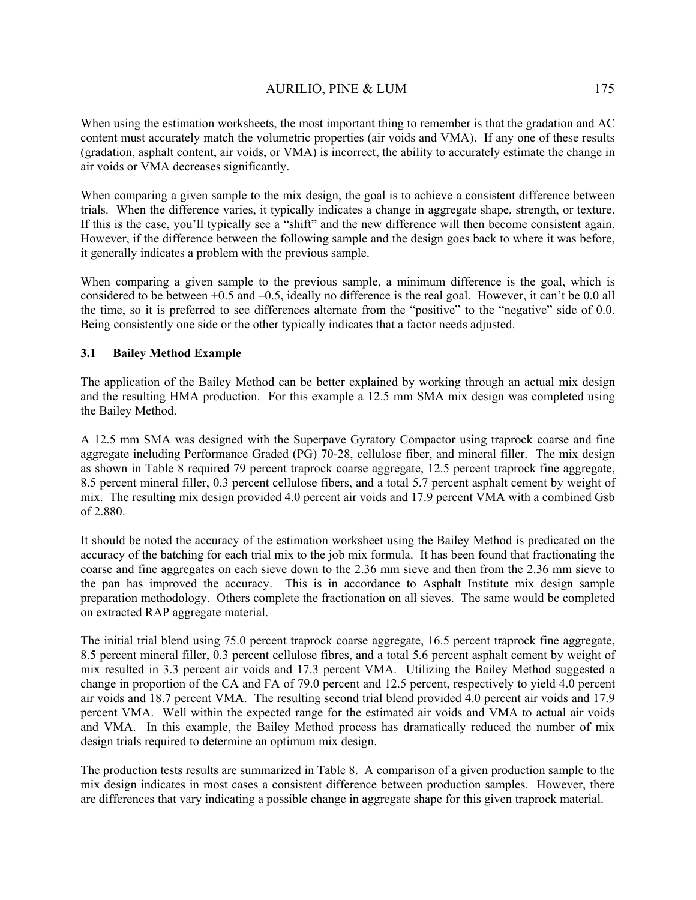When comparing a given sample to the mix design, the goal is to achieve a consistent difference between trials. When the difference varies, it typically indicates a change in aggregate shape, strength, or texture. If this is the case, you'll typically see a "shift" and the new difference will then become consistent again. However, if the difference between the following sample and the design goes back to where it was before, it generally indicates a problem with the previous sample.

When comparing a given sample to the previous sample, a minimum difference is the goal, which is considered to be between +0.5 and –0.5, ideally no difference is the real goal. However, it can't be 0.0 all the time, so it is preferred to see differences alternate from the "positive" to the "negative" side of 0.0. Being consistently one side or the other typically indicates that a factor needs adjusted.

### **3.1 Bailey Method Example**

air voids or VMA decreases significantly.

The application of the Bailey Method can be better explained by working through an actual mix design and the resulting HMA production. For this example a 12.5 mm SMA mix design was completed using the Bailey Method.

A 12.5 mm SMA was designed with the Superpave Gyratory Compactor using traprock coarse and fine aggregate including Performance Graded (PG) 70-28, cellulose fiber, and mineral filler. The mix design as shown in Table 8 required 79 percent traprock coarse aggregate, 12.5 percent traprock fine aggregate, 8.5 percent mineral filler, 0.3 percent cellulose fibers, and a total 5.7 percent asphalt cement by weight of mix. The resulting mix design provided 4.0 percent air voids and 17.9 percent VMA with a combined Gsb of 2.880.

It should be noted the accuracy of the estimation worksheet using the Bailey Method is predicated on the accuracy of the batching for each trial mix to the job mix formula. It has been found that fractionating the coarse and fine aggregates on each sieve down to the 2.36 mm sieve and then from the 2.36 mm sieve to the pan has improved the accuracy. This is in accordance to Asphalt Institute mix design sample preparation methodology. Others complete the fractionation on all sieves. The same would be completed on extracted RAP aggregate material.

The initial trial blend using 75.0 percent traprock coarse aggregate, 16.5 percent traprock fine aggregate, 8.5 percent mineral filler, 0.3 percent cellulose fibres, and a total 5.6 percent asphalt cement by weight of mix resulted in 3.3 percent air voids and 17.3 percent VMA. Utilizing the Bailey Method suggested a change in proportion of the CA and FA of 79.0 percent and 12.5 percent, respectively to yield 4.0 percent air voids and 18.7 percent VMA. The resulting second trial blend provided 4.0 percent air voids and 17.9 percent VMA. Well within the expected range for the estimated air voids and VMA to actual air voids and VMA. In this example, the Bailey Method process has dramatically reduced the number of mix design trials required to determine an optimum mix design.

The production tests results are summarized in Table 8. A comparison of a given production sample to the mix design indicates in most cases a consistent difference between production samples. However, there are differences that vary indicating a possible change in aggregate shape for this given traprock material.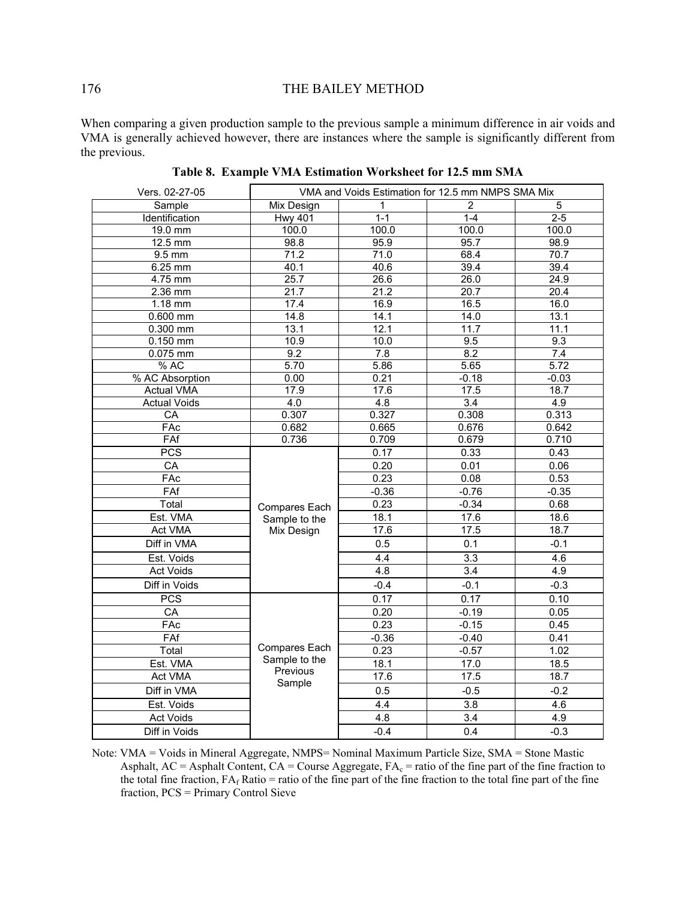When comparing a given production sample to the previous sample a minimum difference in air voids and VMA is generally achieved however, there are instances where the sample is significantly different from the previous.

| Vers. 02-27-05      |                   | VMA and Voids Estimation for 12.5 mm NMPS SMA Mix |                  |         |
|---------------------|-------------------|---------------------------------------------------|------------------|---------|
| Sample              | Mix Design        | $\mathbf{1}$                                      | $\overline{2}$   | 5       |
| Identification      | <b>Hwy 401</b>    | $1 - 1$                                           | $1 - 4$          | $2 - 5$ |
| 19.0 mm             | 100.0             | 100.0                                             | 100.0            | 100.0   |
| 12.5 mm             | 98.8              | 95.9                                              | 95.7             | 98.9    |
| $9.5 \text{ mm}$    | 71.2              | 71.0                                              | 68.4             | 70.7    |
| 6.25 mm             | 40.1              | 40.6                                              | 39.4             | 39.4    |
| 4.75 mm             | 25.7              | 26.6                                              | 26.0             | 24.9    |
| $2.36$ mm           | $\overline{21.7}$ | 21.2                                              | 20.7             | 20.4    |
| 1.18 mm             | 17.4              | 16.9                                              | 16.5             | 16.0    |
| $0.600$ mm          | 14.8              | 14.1                                              | 14.0             | 13.1    |
| 0.300 mm            | 13.1              | 12.1                                              | 11.7             | 11.1    |
| 0.150 mm            | 10.9              | 10.0                                              | 9.5              | 9.3     |
| $0.075$ mm          | 9.2               | 7.8                                               | $\overline{8.2}$ | 7.4     |
| % AC                | 5.70              | 5.86                                              | 5.65             | 5.72    |
| % AC Absorption     | 0.00              | 0.21                                              | $-0.18$          | $-0.03$ |
| <b>Actual VMA</b>   | 17.9              | 17.6                                              | 17.5             | 18.7    |
| <b>Actual Voids</b> | $\overline{4.0}$  | 4.8                                               | 3.4              | 4.9     |
| $\overline{CA}$     | 0.307             | 0.327                                             | 0.308            | 0.313   |
| FAc                 | 0.682             | 0.665                                             | 0.676            | 0.642   |
| FAf                 | 0.736             | 0.709                                             | 0.679            | 0.710   |
| <b>PCS</b>          |                   | 0.17                                              | 0.33             | 0.43    |
| CA                  |                   | 0.20                                              | 0.01             | 0.06    |
| FAC                 |                   | 0.23                                              | 0.08             | 0.53    |
| FAf                 |                   | $-0.36$                                           | $-0.76$          | $-0.35$ |
| Total               | Compares Each     | 0.23                                              | $-0.34$          | 0.68    |
| Est. VMA            | Sample to the     | 18.1                                              | 17.6             | 18.6    |
| <b>Act VMA</b>      | Mix Design        | 17.6                                              | 17.5             | 18.7    |
| Diff in VMA         |                   | 0.5                                               | 0.1              | $-0.1$  |
| Est. Voids          |                   | 4.4                                               | 3.3              | 4.6     |
| Act Voids           |                   | 4.8                                               | 3.4              | 4.9     |
| Diff in Voids       |                   | $-0.4$                                            | $-0.1$           | $-0.3$  |
| <b>PCS</b>          |                   | 0.17                                              | 0.17             | 0.10    |
| CA                  |                   | 0.20                                              | $-0.19$          | 0.05    |
| FAC                 |                   | 0.23                                              | $-0.15$          | 0.45    |
| FAf                 |                   | $-0.36$                                           | $-0.40$          | 0.41    |
| Total               | Compares Each     | 0.23                                              | $-0.57$          | 1.02    |
| Est. VMA            | Sample to the     | 18.1                                              | 17.0             | 18.5    |
| Act VMA             | Previous          | 17.6                                              | 17.5             | 18.7    |
| Diff in VMA         | Sample            | 0.5                                               | $-0.5$           | $-0.2$  |
| Est. Voids          |                   | 4.4                                               | 3.8              | 4.6     |
| Act Voids           |                   | 4.8                                               | 3.4              | 4.9     |
| Diff in Voids       |                   | $-0.4$                                            | 0.4              | $-0.3$  |

**Table 8. Example VMA Estimation Worksheet for 12.5 mm SMA** 

Note: VMA = Voids in Mineral Aggregate, NMPS= Nominal Maximum Particle Size, SMA = Stone Mastic Asphalt,  $AC =$  Asphalt Content,  $CA =$ Course Aggregate,  $FA<sub>c</sub> =$  ratio of the fine part of the fine fraction to the total fine fraction,  $FA_f$  Ratio = ratio of the fine part of the fine fraction to the total fine part of the fine fraction, PCS = Primary Control Sieve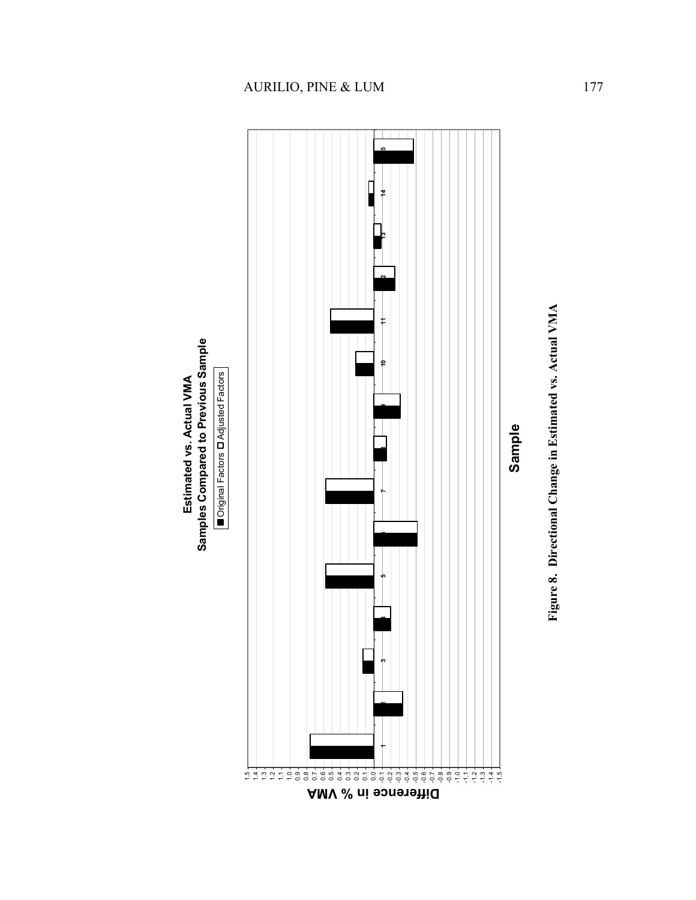

**Estimated vs. Actual VMA**

Estimated vs. Actual VMA



# AURILIO, PINE & LUM 177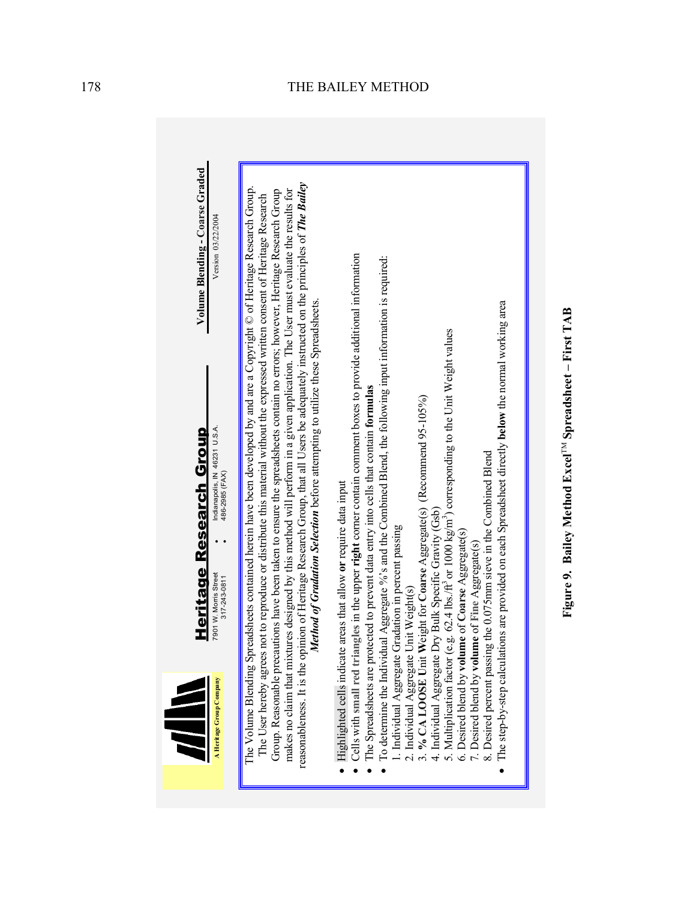

Figure 9. Bailey Method Excel<sup>TM</sup> Spreadsheet - First TAB **Figure 9. Bailey Method Excel**TM **Spreadsheet – First TAB**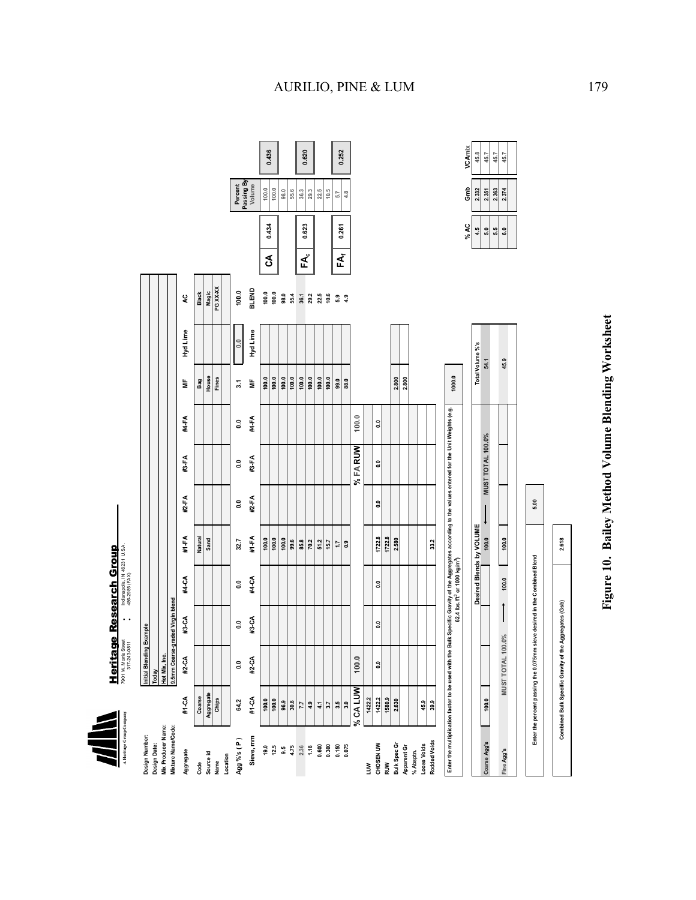Alleringe Group Company **A Heritage Group Company**

**Heritage Research Group**  7901 W. Morris Street • Indianapolis, IN 46231 U.S.A. Heritage Research Group

|                                                   |           | 317-243-0811             | $\cdot$                                           | 486-2985 (FAX)                                        |                                                                                                        |                |                          |               |                  |                   |                |     |       |                      |        |
|---------------------------------------------------|-----------|--------------------------|---------------------------------------------------|-------------------------------------------------------|--------------------------------------------------------------------------------------------------------|----------------|--------------------------|---------------|------------------|-------------------|----------------|-----|-------|----------------------|--------|
| Design Number:                                    |           | Initial Blending Example |                                                   |                                                       |                                                                                                        |                |                          |               |                  |                   |                |     |       |                      |        |
| Design Date:                                      |           | Today                    |                                                   |                                                       |                                                                                                        |                |                          |               |                  |                   |                |     |       |                      |        |
| Mix Producer Name:                                |           |                          |                                                   |                                                       |                                                                                                        |                |                          |               |                  |                   |                |     |       |                      |        |
| Mixture Name/Code:                                |           |                          | Hot Mix, Inc.<br>9.5mm Coarse-graded Virgin blend |                                                       |                                                                                                        |                |                          |               |                  |                   |                |     |       |                      |        |
| Aggregate                                         | #1-CA     | #2-CA                    | #3-CA                                             | #4-CA                                                 | #1-FA                                                                                                  | #2-FA          | #3-FA                    | #4-FA         | Ë                | Hyd Lime          | Q              |     |       |                      |        |
| Code                                              | Coarse    |                          |                                                   |                                                       | Natural                                                                                                |                |                          |               | Bag              |                   | <b>Black</b>   |     |       |                      |        |
|                                                   | Aggregate |                          |                                                   |                                                       | Sand                                                                                                   |                |                          |               | House            |                   | Magic          |     |       |                      |        |
| Source id<br>Name                                 | Chips     |                          |                                                   |                                                       |                                                                                                        |                |                          |               | Fines            |                   | PG XX-XX       |     |       |                      |        |
| Location                                          |           |                          |                                                   |                                                       |                                                                                                        |                |                          |               |                  |                   |                |     |       |                      |        |
| Agg %'s ( P )                                     | 64.2      | 3                        | $\frac{0}{2}$                                     | $\ddot{\circ}$                                        | 32.7                                                                                                   | $\ddot{\circ}$ | $\ddot{\circ}$           | $\frac{0}{2}$ | $\overline{3.1}$ | $\overline{0}$ .0 | 100.0          |     |       | Percent              |        |
| Sieve, mm                                         | #1-CA     | #2-CA                    | #3-CA                                             | #4-CA                                                 | #1-FA                                                                                                  | #2-FA          | #3-FA                    | #4-FA         | ₿                | Hyd Lime          | <b>BLEND</b>   |     |       | Passing By<br>Volume |        |
|                                                   | 100.0     |                          |                                                   |                                                       | 100.0                                                                                                  |                |                          |               | 100.0            |                   | 100.0          | రే  | 0.434 | 100.0                | 0.436  |
| 19.5                                              | 100.0     |                          |                                                   |                                                       | 100.0                                                                                                  |                |                          |               | 100.0            |                   | 100.0          |     |       | 100.0                |        |
| 9.5                                               | 96.9      |                          |                                                   |                                                       | 100.0                                                                                                  |                |                          |               | 100.0            |                   | 98.0           |     |       | 98.0                 |        |
| 4.75                                              | 30.8      |                          |                                                   |                                                       | 99.6                                                                                                   |                |                          |               | 100.0            |                   | 55.4           |     |       | 55.6                 |        |
| 2.36                                              | 7.7       |                          |                                                   |                                                       | 85.8                                                                                                   |                |                          |               | 100.0            |                   | 36.1           | F۹  | 0.623 | 36.3                 | 0.620  |
| 1.18                                              | 4.9       |                          |                                                   |                                                       | 70.2                                                                                                   |                |                          |               | 100.0            |                   | 29.2           |     |       | 29.3                 |        |
| 0.600<br>0.300                                    | 4,1       |                          |                                                   |                                                       | 51.2                                                                                                   |                |                          |               | 100.0            |                   | 22.5           |     |       | 22.5                 |        |
|                                                   | $3.7\,$   |                          |                                                   |                                                       | 15.7                                                                                                   |                |                          |               | 100.0            |                   | 10.6           |     |       | 10.5                 |        |
| 0.150                                             | 3.5       |                          |                                                   |                                                       | 1.7                                                                                                    |                |                          |               | 99.0             |                   | $5.9$<br>$4.9$ | EĂ, | 0.261 | 5.7                  | 0.252  |
| 0.075                                             | 3.0       |                          |                                                   |                                                       | <b>e</b>                                                                                               |                |                          |               | 88.0             |                   |                |     |       | 4.8                  |        |
|                                                   | % CA LUW  | 100.0                    |                                                   |                                                       |                                                                                                        |                | % FA RUW                 | 100.0         |                  |                   |                |     |       |                      |        |
| Š                                                 | 1422.2    |                          |                                                   |                                                       |                                                                                                        |                |                          |               |                  |                   |                |     |       |                      |        |
| CHOSEN UW                                         | 1422.2    | $\ddot{\circ}$           | ៓                                                 | ៓                                                     | 1722.8                                                                                                 | e.o            | ៓                        | e.            |                  |                   |                |     |       |                      |        |
| RUW                                               | 1580.9    |                          |                                                   |                                                       | 1722.8                                                                                                 |                |                          |               |                  |                   |                |     |       |                      |        |
| Bulk Spec Gr                                      | 2.630     |                          |                                                   |                                                       | 2.580                                                                                                  |                |                          |               | 2.800            |                   |                |     |       |                      |        |
| Apparent Gr                                       |           |                          |                                                   |                                                       |                                                                                                        |                |                          |               | 2.800            |                   |                |     |       |                      |        |
| % Absptn.                                         |           |                          |                                                   |                                                       |                                                                                                        |                |                          |               |                  |                   |                |     |       |                      |        |
| Loose Voids                                       | 45.9      |                          |                                                   |                                                       |                                                                                                        |                |                          |               |                  |                   |                |     |       |                      |        |
| Rodded Voids                                      | 39.9      |                          |                                                   |                                                       | 33.2                                                                                                   |                |                          |               |                  |                   |                |     |       |                      |        |
|                                                   |           |                          |                                                   |                                                       |                                                                                                        |                |                          |               |                  |                   |                |     |       |                      |        |
| Enter the multiplication factor to be used with t |           |                          |                                                   | 62.4 lbs./ft <sup>3</sup> or 1000 kg/m <sup>3</sup> ) | the Bulk Specific Gravity of the Aggregates according to the values entered for the Unit Weights (e.g. |                |                          |               | 1000.0           |                   |                |     |       |                      |        |
|                                                   |           |                          |                                                   |                                                       |                                                                                                        |                |                          |               |                  |                   |                |     | % AC  | Ĝ                    | VCAmix |
|                                                   |           |                          |                                                   |                                                       | Desired Blends by VOLUME                                                                               |                |                          |               |                  | Total Volume %'s  |                |     | 4.5   | 2.332                | 45.8   |
| Coarse Agg's                                      | 100.0     |                          |                                                   |                                                       | 100.0                                                                                                  | $\downarrow$   | <b>MUST TOTAL 100.0%</b> |               |                  | 54.1              |                |     | 5.0   | 2.351                | 45.7   |

Figure 10. Bailey Method Volume Blending Worksheet **Figure 10. Bailey Method Volume Blending Worksheet** 

**VCAmix** 

**5.5 2.363 45.7**

 $6.0$  $\frac{1}{2}$ 

2.363 2.374

45.7 45.7

**Fine Agg's 100.0 100.0 6.0 2.374 45.7 MUST TOTAL 100.0%**

 $\begin{array}{|c|c|c|}\n\hline\n\text{100.0}\n\end{array}$ 

100.0

 $\mathord{\upharpoonright}$ 

**MUST TOTAL 100.0%** 

ine Agg's

**Enter the percent passing the 0.075mm sieve desired in the Combined Blend**

Enter the percent passing the 0.075mm sleve desired in the Combined Blend

**Combined Bulk Specific Gravity of the Aggregates (Gsb) 2.618**

Combined Bulk Specific Gravity of the Aggregates (Gsb)

2.618

**5.00**

**45.9**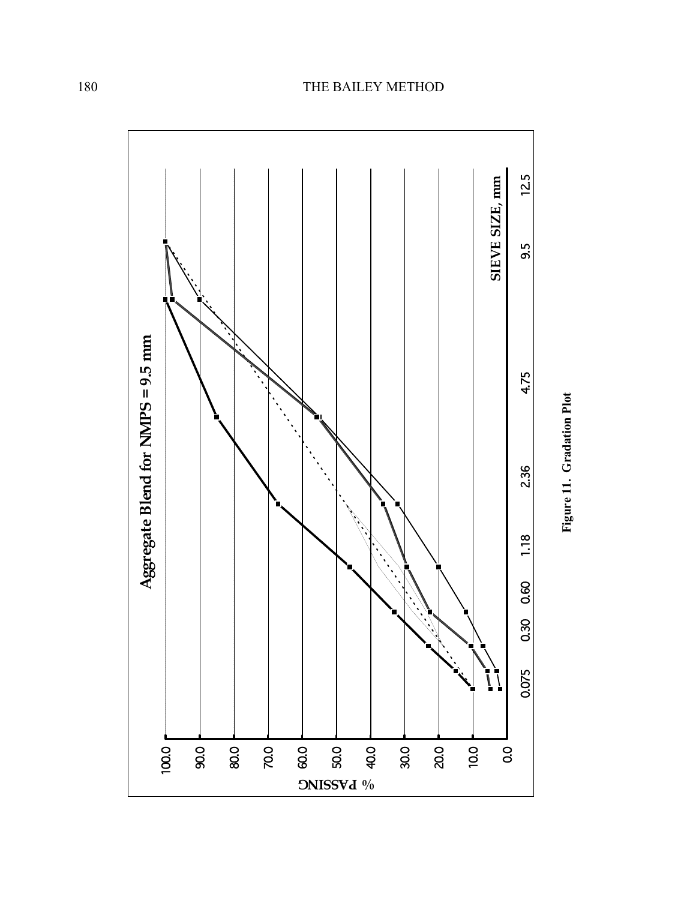

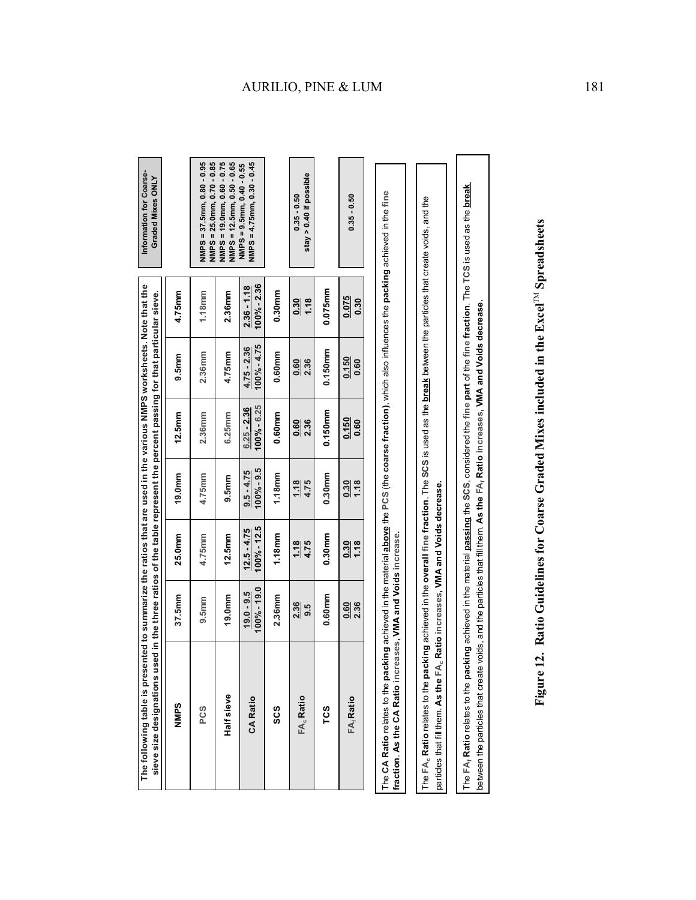| g achieved in the material above the PCS (the coarse fraction), which also influences the packing achieved in the fine |                              |                                 |                                                                                           |                               |                                 |                                | The CA Ratio relates to the packin                                                                                                                   |
|------------------------------------------------------------------------------------------------------------------------|------------------------------|---------------------------------|-------------------------------------------------------------------------------------------|-------------------------------|---------------------------------|--------------------------------|------------------------------------------------------------------------------------------------------------------------------------------------------|
| $0.35 - 0.50$                                                                                                          | 0.075<br>0.30                | 0.150<br>0.60                   | 0.150<br>0.60                                                                             | $\frac{0.30}{1.18}$           | 1.18<br>$\frac{30}{2}$          | 0.60<br>2.36                   | FA <sub>r</sub> Ratio                                                                                                                                |
|                                                                                                                        | 0.075mm                      | $0.150$ mm                      | 0.150mm                                                                                   | 0.30 <sub>mm</sub>            | 0.30mm                          | 0.60mm                         | TCS                                                                                                                                                  |
| stay > $0.40$ if possible<br>$0.35 - 0.50$                                                                             | $\frac{30}{2}$<br>1.18       | 0.60<br>2.36                    | $\overline{0.60}$<br>2.36                                                                 | $\frac{1.18}{4.75}$           | 4.75<br>$\frac{118}{11}$        | 2.36<br>9.5                    | FA <sub>c</sub> Ratio                                                                                                                                |
|                                                                                                                        | 0.30mm                       | 0.60mm                          | 0.60mm                                                                                    | 1.18mm                        | 1.18mm                          | 2.36mm                         | ပ္လိ                                                                                                                                                 |
| NMPS = $4.75$ mm, $0.30 - 0.45$<br>NMPS = 9.5mm, 0.40 - 0.55                                                           | 100% - 2.36<br>$2.36 - 1.18$ | $100\% - 4.75$<br>$4.75 - 2.36$ | $100\% - 6.25$<br>$6.25 - 2.36$                                                           | $100\% - 9.5$<br>$9.5 - 4.75$ | $100\% - 12.5$<br>$12.5 - 4.75$ | $100\% - 19.0$<br>$19.0 - 9.5$ | CA Ratio                                                                                                                                             |
| NMPS = 19.0mm, 0.60 - 0.75<br>NMPS = 12.5mm, 0.50 - 0.65                                                               | 2.36mm                       | 4.75mm                          | 6.25mm                                                                                    | 9.5mm                         | $12.5$ mm                       | 19.0 <sub>mm</sub>             | Half sieve                                                                                                                                           |
| $NMPS = 25.0mm, 0.70 - 0.85$<br>$NNPS = 37.5mm, 0.80 - 0.95$                                                           | 1.18 <sub>mm</sub>           | 2.36mm                          | 2.36mm                                                                                    | 4.75mm                        | 4.75mm                          | 9.5mm                          | PCS                                                                                                                                                  |
|                                                                                                                        | 4.75mm                       | 9.5mm                           | $12.5$ mm                                                                                 | 19.0 <sub>mm</sub>            | 25.0mm                          | 37.5mm                         | <b>NNPS</b>                                                                                                                                          |
| Information for Coarse-<br>Graded Mixes ONLY                                                                           |                              |                                 | in the three ratios of the table represent the percent passing for that particular sieve. |                               |                                 |                                | The following table is presented to summarize the ratios that are used in the various NMPS worksheets. Note that the<br>sieve size designations used |

The FA<sub>c</sub> Ratio relates to the packing achieved in the overall fine fraction. The SCS is used as the break between the particles that create voids, and the The **FAc Ratio** relates to the **packing** achieved in the **overall fine fraction**. The **SCS** is used as the **break** between the particles that create voids, and the particles that fill them. As the FA<sub>c</sub> Ratio increases, VMA and Voids decrease. particles that fill them. **As the FAc Ratio increases, VMA and Voids decrease.**

The FA<sub>f</sub> Ratio relates to the packing achieved in the material passing the SCS, considered the fine part of the fine fraction. The TCS is used as the break The **FAf Ratio** relates to the **packing** achieved in the material **passing** the **SCS**, considered the **fine part** of the **fine fraction**. The **TCS** is used as the **break**  between the particles that create voids, and the particles that fill them. As the FA, Ratio increases, VMA and Voids decrease. between the particles that create voids, and the particles that fill them. **As the FAf Ratio increases, VMA and Voids decrease.**

Figure 12. Ratio Guidelines for Coarse Graded Mixes included in the Excel<sup>TM</sup> Spreadsheets **Figure 12. Ratio Guidelines for Coarse Graded Mixes included in the Excel**TM **Spreadsheets**

# AURILIO, PINE & LUM 181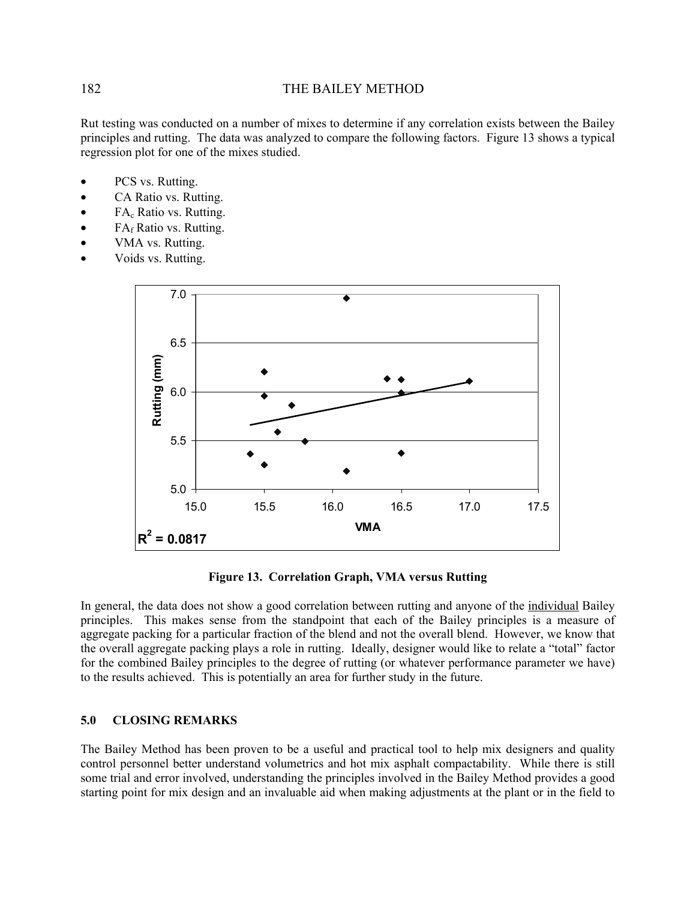Rut testing was conducted on a number of mixes to determine if any correlation exists between the Bailey principles and rutting. The data was analyzed to compare the following factors. Figure 13 shows a typical regression plot for one of the mixes studied.

- PCS vs. Rutting.
- CA Ratio vs. Rutting.
- $FA_c$  Ratio vs. Rutting.
- $FA<sub>f</sub>$  Ratio vs. Rutting.
- VMA vs. Rutting.
- Voids vs. Rutting.



#### **Figure 13. Correlation Graph, VMA versus Rutting**

In general, the data does not show a good correlation between rutting and anyone of the individual Bailey principles. This makes sense from the standpoint that each of the Bailey principles is a measure of aggregate packing for a particular fraction of the blend and not the overall blend. However, we know that the overall aggregate packing plays a role in rutting. Ideally, designer would like to relate a "total" factor for the combined Bailey principles to the degree of rutting (or whatever performance parameter we have) to the results achieved. This is potentially an area for further study in the future.

#### **5.0 CLOSING REMARKS**

The Bailey Method has been proven to be a useful and practical tool to help mix designers and quality control personnel better understand volumetrics and hot mix asphalt compactability. While there is still some trial and error involved, understanding the principles involved in the Bailey Method provides a good starting point for mix design and an invaluable aid when making adjustments at the plant or in the field to